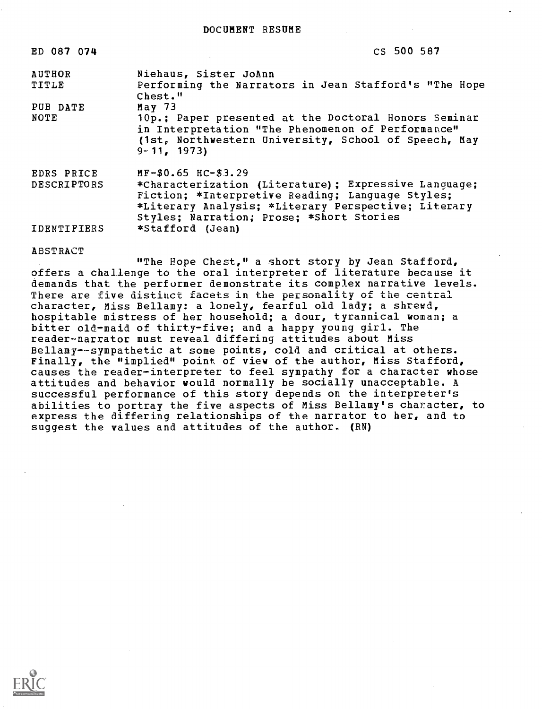| ED 087 074         | CS 500 587                                                                                                                                                                                                   |
|--------------------|--------------------------------------------------------------------------------------------------------------------------------------------------------------------------------------------------------------|
| <b>AUTHOR</b>      | Niehaus, Sister JoAnn                                                                                                                                                                                        |
| TITLE              | Performing the Narrators in Jean Stafford's "The Hope<br>Chest."                                                                                                                                             |
| PUB DATE           | May $73$                                                                                                                                                                                                     |
| NOTE               | 10p.; Paper presented at the Doctoral Honors Seminar<br>in Interpretation "The Phenomenon of Performance"<br>(1st, Northwestern University, School of Speech, May<br>$9 - 11, 1973$                          |
| EDRS PRICE         | $MF-$0.65$ HC-\$3.29                                                                                                                                                                                         |
| <b>DESCRIPTORS</b> | *Characterization (Literature) ; Expressive Language;<br>Fiction; *Interpretive Reading; Language Styles;<br>*Literary Analysis; *Literary Perspective; Literary<br>Styles; Narration; Prose; *Short Stories |
| <b>IDENTIFIERS</b> | *Stafford (Jean)                                                                                                                                                                                             |

## ABSTRACT

"The Hope Chest," a short story by Jean Stafford, offers a challenge to the oral interpreter of literature because it demands that the performer demonstrate its complex narrative levels. There are five distinct facets in the personality of the central character, Miss Bellamy: a lonely, fearful old lady; a shrewd, hospitable mistress of her household; a dour, tyrannical woman; a bitter old-maid of thirty-five; and a happy young girl. The reader-narrator must reveal differing attitudes about Miss Bellamy--sympathetic at some points, cold and critical at others. Finally, the "implied" point of view of the author, Miss Stafford, causes the reader-interpreter to feel sympathy for a character whose attitudes and behavior would normally be socially unacceptable. A successful performance of this story depends on the interpreter's abilities to portray the five aspects of Miss Bellamy's character, to express the differing relationships of the narrator to her, and to suggest the values and attitudes of the author. (RN)

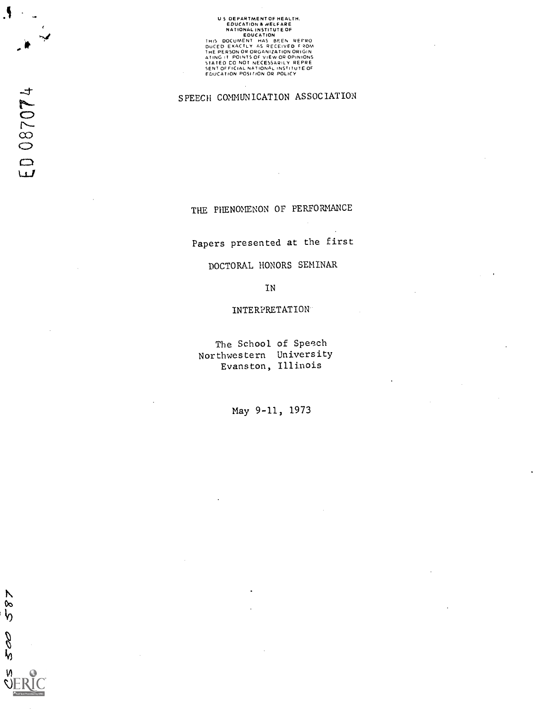## U S DEPARTMENT OF HEALTH,<br>EDUCATION & WELFARE<br>NATIONAL INSTITUTE OF **ENTRE DE COUCATION<br>DUCED EXACTLY AS RECEIVED FROM<br>THE PERSON OR ORGANIZATION ORIGIN<br>ATING IT POINTS OF VIEW OR OPINIONS<br>STATED CO NOT NECESSARILY REPRE<br>STATED CO NOT NECESSARILY REPRE<br>EDUCATION POSITION OR POLICY**

SPEECH COMUNICATION ASSOCIATION

THE PHENOMENON OF PERFORMANCE

Papers presented at the first

DOCTORAL HONORS SEMINAR

IN

INTERPRETATION

The School of Speech Northwestern University Evanston, Illinois

May 9-11, 1973

N  $\frac{8}{6}$ 

200

W)

 $\ddot{\mathbf{A}}$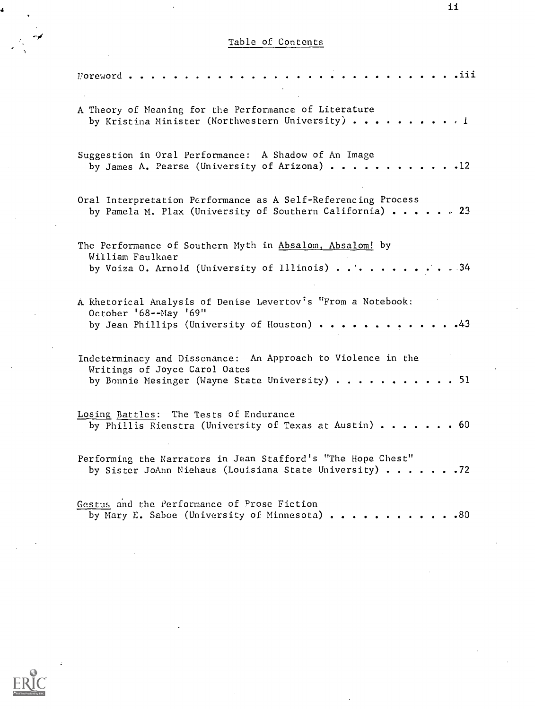## Table of Contents

| . . <i>.</i> iii<br>$V$ oreword                                                                                                                 |
|-------------------------------------------------------------------------------------------------------------------------------------------------|
| A Theory of Meaning for the Performance of Literature<br>by Kristina Minister (Northwestern University) 1                                       |
| Suggestion in Oral Performance: A Shadow of An Image<br>by James A. Pearse (University of Arizona) 12                                           |
| Oral Interpretation Performance as A Self-Referencing Process<br>by Pamela M. Plax (University of Southern California) 23                       |
| The Performance of Southern Myth in Absalom, Absalom! by<br>William Faulkner<br>by Voiza 0. Arnold (University of Illinois) 34                  |
| A Rhetorical Analysis of Denise Levertov's "From a Notebook:<br>October '68 -- May '69"<br>by Jean Phillips (University of Houston) $\cdots$ 43 |
| Indeterminacy and Dissonance: An Approach to Violence in the<br>Writings of Joyce Carol Oates<br>by Bonnie Mesinger (Wayne State University) 51 |
| Losing Battles: The Tests of Endurance<br>by Phillis Rienstra (University of Texas at Austin) $\ldots \ldots$ . 60                              |
| Performing the Narrators in Jean Stafford's "The Hope Chest"<br>by Sister JoAnn Niehaus (Louisiana State University) 72                         |
| Gestus and the Performance of Prose Fiction<br>by Mary E. Saboe (University of Minnesota) 80                                                    |

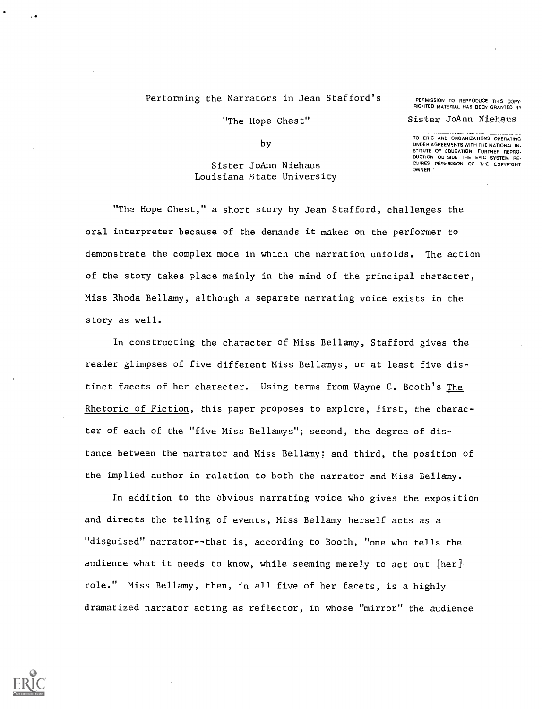## Performing the Narrators in Jean Stafford's THERMISSION TO REPRODUCE THIS COPY.

RIGHTED MATERIAL HAS BEEN GRANTED BY

"The Hope Chest" Sister JoAnn Niehaus TO ERIC AND ORGANIZATIONS OPERATING

UNDER AGREEMENTS WITH THE NATIONAL IN.

OWNER

STITUTE OF EDUCATION. FURTHER REPRO.<br>DUCTION OUTSIDE THE ERIC SYSTEM RE.<br>CUIRES PERMISSION OF THE COPYRIGHT

by

Sister JoAnn Niehaus Louisiana State University

"The Hope Chest," a short story by Jean Stafford, challenges the oral interpreter because of the demands it makes on the performer to demonstrate the complex mode in which the narration unfolds. The action of the story takes place mainly in the mind of the principal character, Miss Rhoda Bellamy, although a separate narrating voice exists in the story as well.

In constructing the character of Miss Bellamy, Stafford gives the reader glimpses of five different Miss Bellamys, or at least five distinct facets of her character. Using terms from Wayne C. Booth's The Rhetoric of Fiction, this paper proposes to explore, first, the character of each of the "five Miss Bellamys"; second, the degree of distance between the narrator and Miss Bellamy; and third, the position of the implied author in relation to both the narrator and Miss Gellamy.

In addition to the obvious narrating voice who gives the exposition and directs the telling of events, Miss Bellamy herself acts as a "disguised" narrator--that is, according to Booth, "one who tells the audience what it needs to know, while seeming merely to act out [her] role." Miss Bellamy, then, in all five of her facets, is a highly dramatized narrator acting as reflector, in whose "mirror" the audience

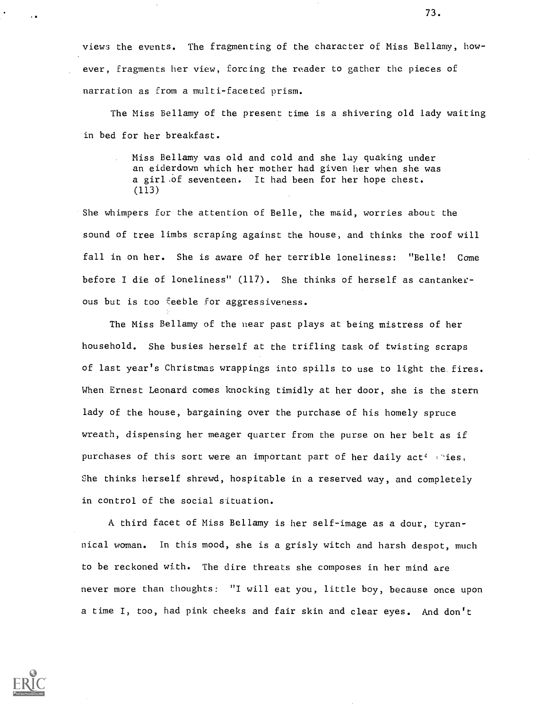views the events. The fragmenting of the character of Miss Bellamy, however, fragments her view, forcing the reader to gather the pieces of narration as from a multi-faceted prism.

The Miss Bellamy of the present time is a shivering old lady waiting in bed for her breakfast.

> Miss Bellamy was old and cold and she lay quaking under an eiderdown which her mother had given her when she was a girl.of seventeen. It had been for her hope chest. (113)

She whimpers for the attention of Belle, the maid, worries about the sound of tree limbs scraping against the house, and thinks the roof will fall in on her. She is aware of her terrible loneliness: "Belle! Come before I die of loneliness" (117). She thinks of herself as cantankerous but is too Feeble For aggressiveness.

The Miss Bellamy of the near past plays at being mistress of her household. She busies herself at the trifling task of twisting scraps of last year's Christmas wrappings into spills to use to light the fires. When Ernest Leonard comes knocking timidly at her door, she is the stern lady of the house, bargaining over the purchase of his homely spruce wreath, dispensing her meager quarter from the purse on her belt as if purchases of this sort were an important part of her daily  $act \cdot ::$ ies, She thinks herself shrewd, hospitable in a reserved way, and completely in control of the social situation.

A third facet of Miss Bellamy is her self-image as a dour, tyrannical woman. In this mood, she is a grisly witch and harsh despot, much to be reckoned with. The dire threats she composes in her mind are never more than thoughts: "I will eat you, little boy, because once upon a time I, too, had pink cheeks and fair skin and clear eyes. And don't

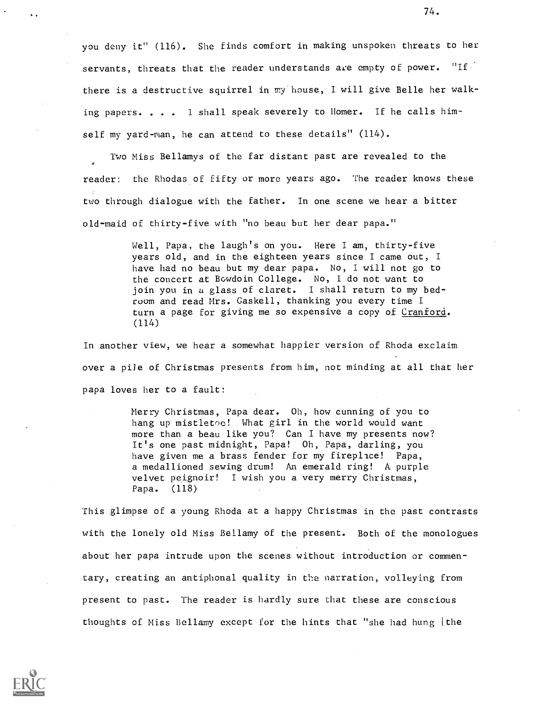you deny it" (116). She finds comfort in making unspoken threats to her servants, threats that the reader understands are empty of power.  $"If$ there is a destructive squirrel in my house, I will give Belle her walking papers. . . . 1 shall speak severely to Homer. If he calls himself my yard-man, he can attend to these details" (114).

Two Miss Bellamys of the far distant past are revealed to the reader: the Rhodas of fifty or more years ago. The reader knows these two through dialogue with the father. In one scene we hear a bitter old-maid of thirty-five with "no beau but her dear papa."

> Well, Papa, the laugh's on you. Here I am, thirty-five years old, and in the eighteen years since I came out, <sup>I</sup> have had no beau but my dear papa. No, I will not go to the concert at Bowdoin College. No, I do not want to join you in a glass of claret. I shall return to my bedroom and read Mrs. Gaskell, thanking you every time I turn a page for giving me so expensive a copy of Cranford. (114)

In another view, we hear a somewhat happier version of Rhoda exclaim over a pile of Christmas presents from him, not minding at all that her papa loves her to a fault:

> Merry Christmas, Papa dear. Oh, how cunning of you to hang up mistletoe! What girl in the world would want more than a beau like you? Can I have my presents now? It's one past midnight, Papa! Oh, Papa, darling, you have given me a brass fender for my fireplace! Papa, a medallioned sewing drum! An emerald ring! A purple velvet peignoir! I wish you a very merry Christmas, Papa. (118)

This glimpse of a young Rhoda at a happy Christmas in the past contrasts with the lonely old Miss Bellamy of the present. Both of the monologues about her papa intrude upon the scenes without introduction or commentary, creating an antiphonal quality in the narration, volleying from present to past. The reader is hardly sure that these are conscious thoughts of Miss Bellamy except for the hints that "she had hung the

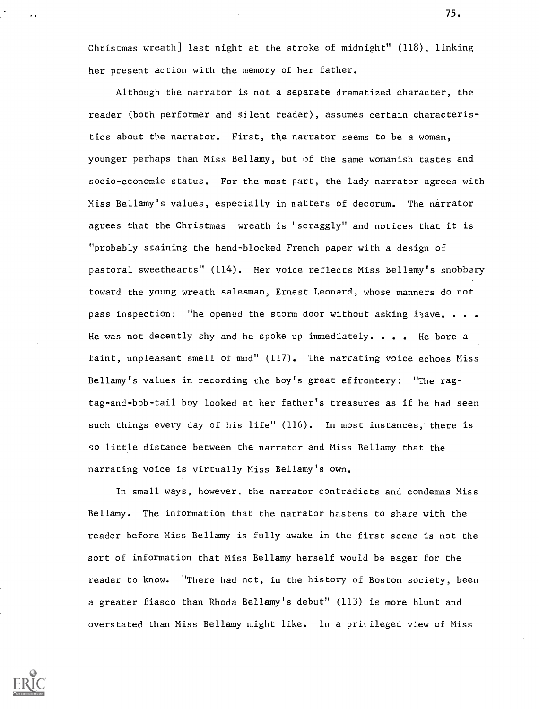Christmas wreath] last night at the stroke of midnight" (118), linking her present action with the memory of her father.

Although the narrator is not a separate dramatized character, the reader (both performer and silent reader), assumes certain characteristics about the narrator. First, the narrator seems to be a woman, younger perhaps than Miss Bellamy, but of the same womanish tastes and socio-economic status. For the most part, the lady narrator agrees with Miss Bellamy's values, especially in natters of decorum. The narrator agrees that the Christmas wreath is "scraggly" and notices that it is "probably staining the hand-blocked French paper with a design of pastoral sweethearts" (114). Her voice reflects Miss Bellamy's snobbery toward the young wreath salesman, Ernest Leonard, whose manners do not pass inspection: "he opened the storm door without asking  $l_2$ ave. . . . He was not decently shy and he spoke up immediately. . . . He bore a faint, unpleasant smell of mud" (117). The narrating voice echoes Miss Bellamy's values in recording the boy's great effrontery: "The ragtag-and-bob-tail boy looked at her father's treasures as if he had seen such things every day of his life" (116). In most instances, there is so little distance between the narrator and Miss Bellamy that the narrating voice is virtually Miss Bellamy's own.

In small ways, however, the narrator contradicts and condemns Miss Bellamy. The information that the narrator hastens to share with the reader before Miss Bellamy is fully awake in the first scene is not, the sort of information that Miss Bellamy herself would be eager for the reader to know. "There had not, in the history of Boston society, been a greater fiasco than Rhoda Bellamy's debut" (113) is more blunt and overstated than Miss Bellamy might like. In a privileged vlew of Miss

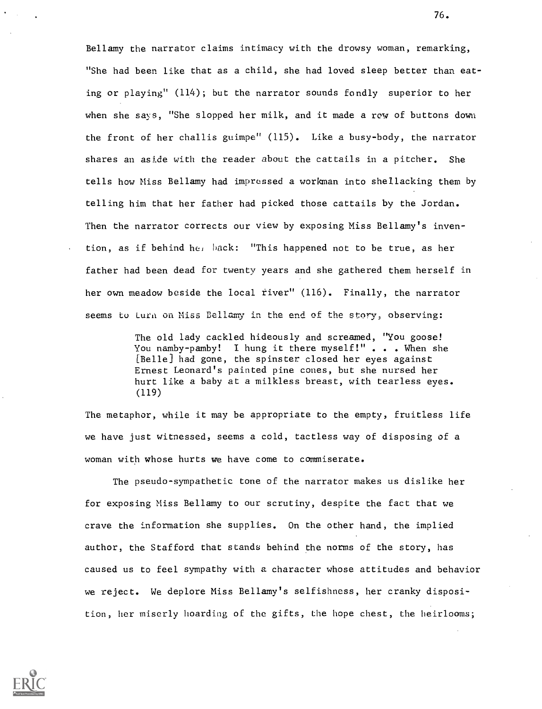Bellamy the narrator claims intimacy with the drowsy woman, remarking, "She had been like that as a child, she had loved sleep better than eating or playing" (114); but the narrator sounds fondly superior to her when she says, "She slopped her milk, and it made a row of buttons down the front of her challis guimpe" (115). Like a busy-body, the narrator shares an aside with the reader about the cattails in a pitcher. She tells how Miss Bellamy had impressed a workman into shellacking them by telling him that her father had picked those cattails by the Jordan. Then the narrator corrects our view by exposing Miss Bellamy's invention, as if behind her hack: "This happened not to be true, as her father had been dead for twenty years and she gathered them herself in her own meadow beside the local river" (116). Finally, the narrator seems to turn on Miss Bellamy in the end of the story, observing:

> The old lady cackled hideously and screamed, "You goose! You namby-pamby! I hung it there myself!"... When she [Belle] had gone, the spinster closed her eyes against Ernest Leonard's painted pine cones, but she nursed her hurt like a baby at a milkless breast, with tearless eyes. (119)

The metaphor, while it may be appropriate to the empty, fruitless life we have just witnessed, seems a cold, tactless way of disposing of a woman with whose hurts we have come to commiserate.

The pseudo-sympathetic tone of the narrator makes us dislike her for exposing Miss Bellamy to our scrutiny, despite the fact that we crave the information she supplies. On the other hand, the implied author, the Stafford that stands behind the norms of the story, has caused us to feel sympathy with a character whose attitudes and behavior we reject. We deplore Miss Bellamy's selfishness, her cranky disposition, her miserly hoarding of the gifts, the hope chest, the heirlooms;

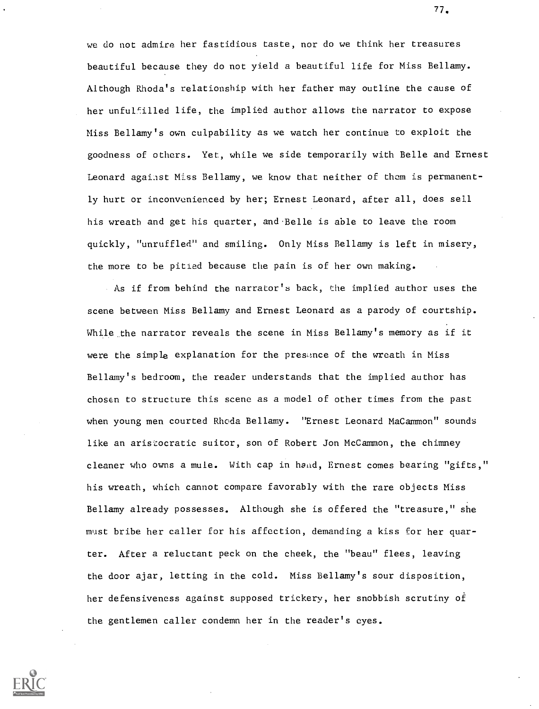we do not admire her fastidious taste, nor do we think her treasures beautiful because they do not yield a beautiful life for Miss Bellamy. Although Rhoda's relationship with her father may outline the cause of her unfulfilled life, the implied author allows the narrator to expose Miss Bellamy's own culpability as we watch her continue to exploit the goodness of others. Yet, while we side temporarily with Belle and Ernest Leonard against Miss Bellamy, we know that neither of them is permanently hurt or inconvenienced by her; Ernest Leonard, after all, does sell his wreath and get his quarter, and Belle is able to leave the room quickly, "unruffled" and smiling. Only Miss Bellamy is left in misery, the more to be pitied because the pain is of her own making.

As if from behind the narrator's back, the implied author uses the scene between Miss Bellamy and Ernest Leonard as a parody of courtship. While the narrator reveals the scene in Miss Bellamy's memory as if it were the simple explanation for the presimce of the wreath in Miss Bellamy's bedroom, the reader understands that the implied author has chosen to structure this scene as a model of other times from the past when young men courted Rhoda Bellamy. "Ernest Leonard MaCammon" sounds like an aristocratic suitor, son of Robert Jon McCammon, the chimney cleaner who owns a mule. With cap in hand, Ernest comes bearing "gifts," his wreath, which cannot compare favorably with the rare objects Miss Bellamy already possesses. Although she is offered the "treasure," she must bribe her caller for his affection, demanding a kiss for her quarter. After a reluctant peck on the cheek, the "beau" flees, leaving the door ajar, letting in the cold. Miss Bellamy's sour disposition, her defensiveness against supposed trickery, her snobbish scrutiny of the gentlemen caller condemn her in the reader's eyes.



77,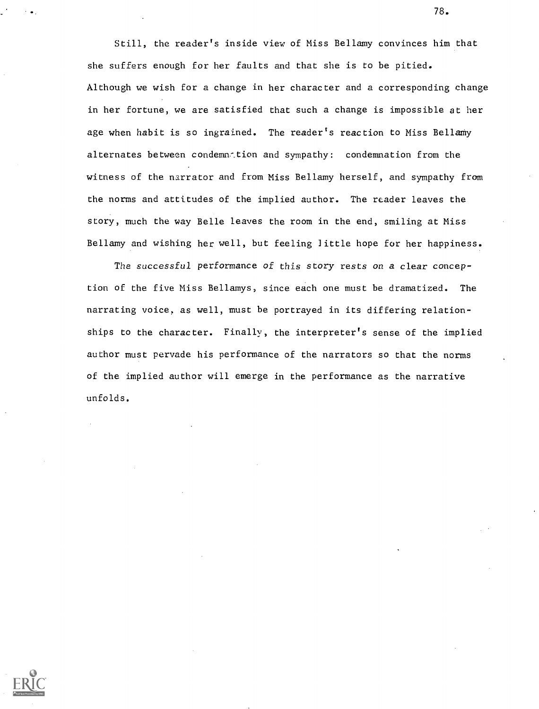Still, the reader's inside view of Miss Bellamy convinces him that she suffers enough for her faults and that she is to be pitied. Although we wish for a change in her character and a corresponding change in her fortune, we are satisfied that such a change is impossible at her age when habit is so ingrained. The reader's reaction to Miss Bellamy alternates between condemnation and sympathy: condemnation from the witness of the narrator and from Miss Bellamy herself, and sympathy from the norms and attitudes of the implied author. The reader leaves the story, much the way Belle leaves the room in the end, smiling at Miss Bellamy and wishing her well, but feeling little hope for her happiness.

The successful performance of this story rests on a clear conception of the five Miss Bellamys, since each one must be dramatized. The narrating voice, as well, must be portrayed in its differing relationships to the character. Finally, the interpreter's sense of the implied author must pervade his performance of the narrators so that the norms of the implied author will emerge in the performance as the narrative unfolds.

78.